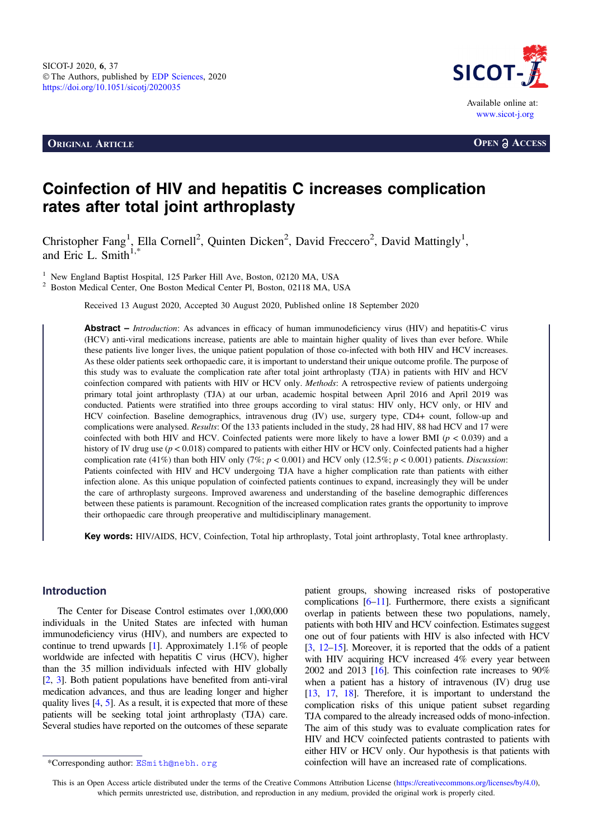**ORIGINAL ARTICLE OPEN a** ACCESS



# Coinfection of HIV and hepatitis C increases complication rates after total joint arthroplasty

Christopher Fang<sup>1</sup>, Ella Cornell<sup>2</sup>, Quinten Dicken<sup>2</sup>, David Freccero<sup>2</sup>, David Mattingly<sup>1</sup>, and Eric L. Smith $1,*$ 

<sup>1</sup> New England Baptist Hospital, 125 Parker Hill Ave, Boston, 02120 MA, USA<br><sup>2</sup> Boston Medical Center, One Boston Medical Center Pl, Boston, 02118 MA, USA

Received 13 August 2020, Accepted 30 August 2020, Published online 18 September 2020

Abstract – Introduction: As advances in efficacy of human immunodeficiency virus (HIV) and hepatitis-C virus (HCV) anti-viral medications increase, patients are able to maintain higher quality of lives than ever before. While these patients live longer lives, the unique patient population of those co-infected with both HIV and HCV increases. As these older patients seek orthopaedic care, it is important to understand their unique outcome profile. The purpose of this study was to evaluate the complication rate after total joint arthroplasty (TJA) in patients with HIV and HCV coinfection compared with patients with HIV or HCV only. Methods: A retrospective review of patients undergoing primary total joint arthroplasty (TJA) at our urban, academic hospital between April 2016 and April 2019 was conducted. Patients were stratified into three groups according to viral status: HIV only, HCV only, or HIV and HCV coinfection. Baseline demographics, intravenous drug (IV) use, surgery type, CD4+ count, follow-up and complications were analysed. Results: Of the 133 patients included in the study, 28 had HIV, 88 had HCV and 17 were coinfected with both HIV and HCV. Coinfected patients were more likely to have a lower BMI ( $p < 0.039$ ) and a history of IV drug use  $(p < 0.018)$  compared to patients with either HIV or HCV only. Coinfected patients had a higher complication rate (41%) than both HIV only (7%;  $p < 0.001$ ) and HCV only (12.5%;  $p < 0.001$ ) patients. Discussion: Patients coinfected with HIV and HCV undergoing TJA have a higher complication rate than patients with either infection alone. As this unique population of coinfected patients continues to expand, increasingly they will be under the care of arthroplasty surgeons. Improved awareness and understanding of the baseline demographic differences between these patients is paramount. Recognition of the increased complication rates grants the opportunity to improve their orthopaedic care through preoperative and multidisciplinary management.

Key words: HIV/AIDS, HCV, Coinfection, Total hip arthroplasty, Total joint arthroplasty, Total knee arthroplasty.

# Introduction

The Center for Disease Control estimates over 1,000,000 individuals in the United States are infected with human immunodeficiency virus (HIV), and numbers are expected to continue to trend upwards [\[1\]](#page-2-0). Approximately 1.1% of people worldwide are infected with hepatitis C virus (HCV), higher than the 35 million individuals infected with HIV globally [[2](#page-2-0), [3](#page-2-0)]. Both patient populations have benefited from anti-viral medication advances, and thus are leading longer and higher quality lives [\[4](#page-2-0), [5](#page-2-0)]. As a result, it is expected that more of these patients will be seeking total joint arthroplasty (TJA) care. Several studies have reported on the outcomes of these separate

patient groups, showing increased risks of postoperative complications [\[6](#page-2-0)–[11\]](#page-3-0). Furthermore, there exists a significant overlap in patients between these two populations, namely, patients with both HIV and HCV coinfection. Estimates suggest one out of four patients with HIV is also infected with HCV [[3,](#page-2-0) [12](#page-3-0)–[15\]](#page-3-0). Moreover, it is reported that the odds of a patient with HIV acquiring HCV increased 4% every year between 2002 and 2013 [\[16\]](#page-3-0). This coinfection rate increases to 90% when a patient has a history of intravenous (IV) drug use [[13](#page-3-0), [17](#page-3-0), [18](#page-3-0)]. Therefore, it is important to understand the complication risks of this unique patient subset regarding TJA compared to the already increased odds of mono-infection. The aim of this study was to evaluate complication rates for HIV and HCV coinfected patients contrasted to patients with either HIV or HCV only. Our hypothesis is that patients with \*Corresponding author: ESmith@nebh.org coinfection will have an increased rate of complications.

This is an Open Access article distributed under the terms of the Creative Commons Attribution License [\(https://creativecommons.org/licenses/by/4.0](https://creativecommons.org/licenses/by/4.0/)), which permits unrestricted use, distribution, and reproduction in any medium, provided the original work is properly cited.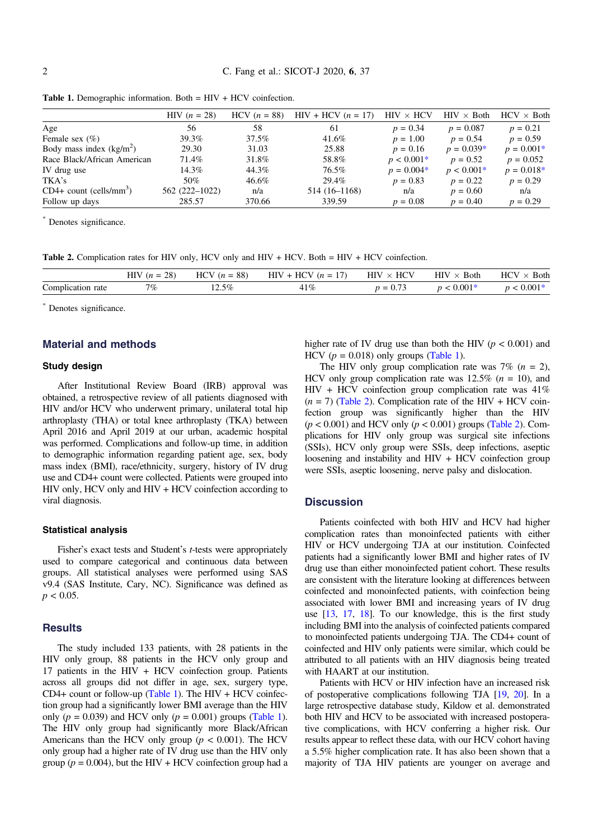|                                       | $HIV (n = 28)$ | $HCV (n = 88)$ | $HIV + HCV (n = 17)$ | $HIV \times HCV$ | $HIV \times Both$ | $HCV \times Both$ |
|---------------------------------------|----------------|----------------|----------------------|------------------|-------------------|-------------------|
| Age                                   | 56.            | 58             | 61                   | $p = 0.34$       | $p = 0.087$       | $p = 0.21$        |
| Female sex $(\%)$                     | 39.3%          | 37.5%          | 41.6%                | $p = 1.00$       | $p = 0.54$        | $p = 0.59$        |
| Body mass index $(kg/m2)$             | 29.30          | 31.03          | 25.88                | $p = 0.16$       | $p = 0.039*$      | $p = 0.001*$      |
| Race Black/African American           | 71.4%          | 31.8%          | 58.8%                | $p < 0.001*$     | $p = 0.52$        | $p = 0.052$       |
| IV drug use                           | 14.3%          | 44.3%          | 76.5%                | $p = 0.004*$     | $p < 0.001*$      | $p = 0.018*$      |
| TKA's                                 | 50%            | 46.6%          | 29.4%                | $p = 0.83$       | $p = 0.22$        | $p = 0.29$        |
| $CD4+$ count (cells/mm <sup>3</sup> ) | 562 (222-1022) | n/a            | 514 (16-1168)        | n/a              | $p = 0.60$        | n/a               |
| Follow up days                        | 285.57         | 370.66         | 339.59               | $p = 0.08$       | $p = 0.40$        | $p = 0.29$        |

\* Denotes significance.

Table 2. Complication rates for HIV only, HCV only and HIV + HCV. Both = HIV + HCV coinfection.

|                                                             | $\bigcap$<br><b>TITY:</b><br>нı<br>-20 °<br>–<br>. | $\circ$<br><b>HCV</b><br>88.<br>$\overline{u}$ | <b>TTOTT</b><br>HIV<br>–<br>,,,<br>. .<br>$\sim$ | ITCVI<br>НI\<br>ЧU<br>$\sim$  | $\sim$<br>HIV<br><b>Both</b><br>$\sim$ $\sim$ | $\sim$<br><b>HC<sub>I</sub></b><br>Both<br>$\sim$ |
|-------------------------------------------------------------|----------------------------------------------------|------------------------------------------------|--------------------------------------------------|-------------------------------|-----------------------------------------------|---------------------------------------------------|
| $\tilde{\phantom{a}}$<br>$\mathcal{L}$ om<br>rate<br>cation | 7 $\%$                                             | $12.5\%$                                       | and the state of the state of                    | $\overline{\phantom{a}}$<br>- | $.001*$                                       |                                                   |

\* Denotes significance.

# Material and methods

#### Study design

After Institutional Review Board (IRB) approval was obtained, a retrospective review of all patients diagnosed with HIV and/or HCV who underwent primary, unilateral total hip arthroplasty (THA) or total knee arthroplasty (TKA) between April 2016 and April 2019 at our urban, academic hospital was performed. Complications and follow-up time, in addition to demographic information regarding patient age, sex, body mass index (BMI), race/ethnicity, surgery, history of IV drug use and CD4+ count were collected. Patients were grouped into HIV only, HCV only and HIV + HCV coinfection according to viral diagnosis.

#### Statistical analysis

Fisher's exact tests and Student's *t*-tests were appropriately used to compare categorical and continuous data between groups. All statistical analyses were performed using SAS v9.4 (SAS Institute, Cary, NC). Significance was defined as  $p < 0.05$ .

# **Results**

The study included 133 patients, with 28 patients in the HIV only group, 88 patients in the HCV only group and 17 patients in the HIV + HCV coinfection group. Patients across all groups did not differ in age, sex, surgery type,  $CD4+$  count or follow-up (Table 1). The HIV + HCV coinfection group had a significantly lower BMI average than the HIV only ( $p = 0.039$ ) and HCV only ( $p = 0.001$ ) groups (Table 1). The HIV only group had significantly more Black/African Americans than the HCV only group ( $p < 0.001$ ). The HCV only group had a higher rate of IV drug use than the HIV only group ( $p = 0.004$ ), but the HIV + HCV coinfection group had a higher rate of IV drug use than both the HIV ( $p < 0.001$ ) and HCV  $(p = 0.018)$  only groups (Table 1).

The HIV only group complication rate was  $7\%$  ( $n = 2$ ), HCV only group complication rate was  $12.5\%$  ( $n = 10$ ), and  $HIV + HCV$  coinfection group complication rate was  $41\%$  $(n = 7)$  (Table 2). Complication rate of the HIV + HCV coinfection group was significantly higher than the HIV  $(p < 0.001)$  and HCV only  $(p < 0.001)$  groups (Table 2). Complications for HIV only group was surgical site infections (SSIs), HCV only group were SSIs, deep infections, aseptic loosening and instability and HIV + HCV coinfection group were SSIs, aseptic loosening, nerve palsy and dislocation.

# **Discussion**

Patients coinfected with both HIV and HCV had higher complication rates than monoinfected patients with either HIV or HCV undergoing TJA at our institution. Coinfected patients had a significantly lower BMI and higher rates of IV drug use than either monoinfected patient cohort. These results are consistent with the literature looking at differences between coinfected and monoinfected patients, with coinfection being associated with lower BMI and increasing years of IV drug use [[13](#page-3-0), [17](#page-3-0), [18](#page-3-0)]. To our knowledge, this is the first study including BMI into the analysis of coinfected patients compared to monoinfected patients undergoing TJA. The CD4+ count of coinfected and HIV only patients were similar, which could be attributed to all patients with an HIV diagnosis being treated with HAART at our institution.

Patients with HCV or HIV infection have an increased risk of postoperative complications following TJA [\[19,](#page-3-0) [20](#page-3-0)]. In a large retrospective database study, Kildow et al. demonstrated both HIV and HCV to be associated with increased postoperative complications, with HCV conferring a higher risk. Our results appear to reflect these data, with our HCV cohort having a 5.5% higher complication rate. It has also been shown that a majority of TJA HIV patients are younger on average and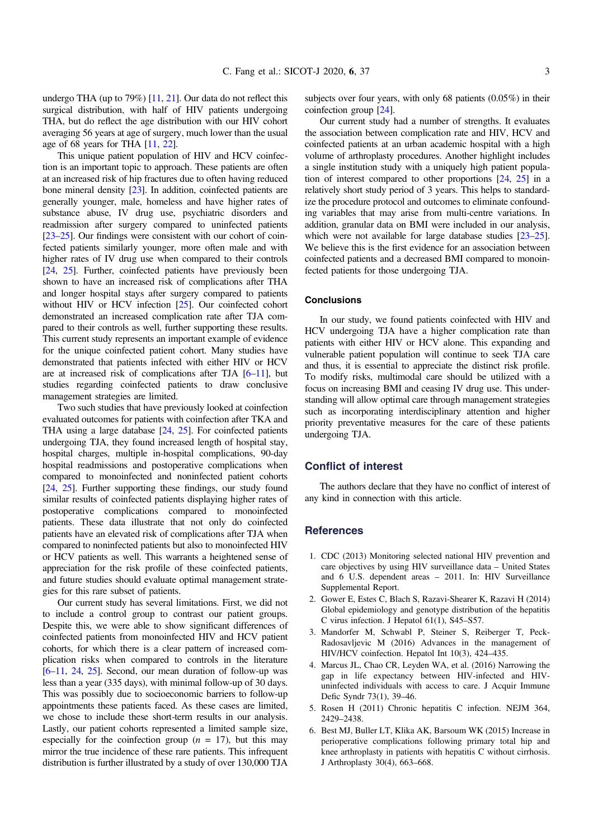<span id="page-2-0"></span>undergo THA (up to 79%) [[11](#page-3-0), [21\]](#page-3-0). Our data do not reflect this surgical distribution, with half of HIV patients undergoing THA, but do reflect the age distribution with our HIV cohort averaging 56 years at age of surgery, much lower than the usual age of 68 years for THA [[11](#page-3-0), [22\]](#page-3-0).

This unique patient population of HIV and HCV coinfection is an important topic to approach. These patients are often at an increased risk of hip fractures due to often having reduced bone mineral density [\[23\]](#page-3-0). In addition, coinfected patients are generally younger, male, homeless and have higher rates of substance abuse, IV drug use, psychiatric disorders and readmission after surgery compared to uninfected patients [[23](#page-3-0)–[25\]](#page-3-0). Our findings were consistent with our cohort of coinfected patients similarly younger, more often male and with higher rates of IV drug use when compared to their controls [[24](#page-3-0), [25\]](#page-3-0). Further, coinfected patients have previously been shown to have an increased risk of complications after THA and longer hospital stays after surgery compared to patients without HIV or HCV infection [[25](#page-3-0)]. Our coinfected cohort demonstrated an increased complication rate after TJA compared to their controls as well, further supporting these results. This current study represents an important example of evidence for the unique coinfected patient cohort. Many studies have demonstrated that patients infected with either HIV or HCV are at increased risk of complications after TJA  $[6-11]$  $[6-11]$  $[6-11]$ , but studies regarding coinfected patients to draw conclusive management strategies are limited.

Two such studies that have previously looked at coinfection evaluated outcomes for patients with coinfection after TKA and THA using a large database [\[24,](#page-3-0) [25\]](#page-3-0). For coinfected patients undergoing TJA, they found increased length of hospital stay, hospital charges, multiple in-hospital complications, 90-day hospital readmissions and postoperative complications when compared to monoinfected and noninfected patient cohorts [[24](#page-3-0), [25\]](#page-3-0). Further supporting these findings, our study found similar results of coinfected patients displaying higher rates of postoperative complications compared to monoinfected patients. These data illustrate that not only do coinfected patients have an elevated risk of complications after TJA when compared to noninfected patients but also to monoinfected HIV or HCV patients as well. This warrants a heightened sense of appreciation for the risk profile of these coinfected patients, and future studies should evaluate optimal management strategies for this rare subset of patients.

Our current study has several limitations. First, we did not to include a control group to contrast our patient groups. Despite this, we were able to show significant differences of coinfected patients from monoinfected HIV and HCV patient cohorts, for which there is a clear pattern of increased complication risks when compared to controls in the literature [6–[11,](#page-3-0) [24](#page-3-0), [25](#page-3-0)]. Second, our mean duration of follow-up was less than a year (335 days), with minimal follow-up of 30 days. This was possibly due to socioeconomic barriers to follow-up appointments these patients faced. As these cases are limited, we chose to include these short-term results in our analysis. Lastly, our patient cohorts represented a limited sample size, especially for the coinfection group ( $n = 17$ ), but this may mirror the true incidence of these rare patients. This infrequent distribution is further illustrated by a study of over 130,000 TJA subjects over four years, with only 68 patients (0.05%) in their coinfection group [[24](#page-3-0)].

Our current study had a number of strengths. It evaluates the association between complication rate and HIV, HCV and coinfected patients at an urban academic hospital with a high volume of arthroplasty procedures. Another highlight includes a single institution study with a uniquely high patient population of interest compared to other proportions [\[24](#page-3-0), [25\]](#page-3-0) in a relatively short study period of 3 years. This helps to standardize the procedure protocol and outcomes to eliminate confounding variables that may arise from multi-centre variations. In addition, granular data on BMI were included in our analysis, which were not available for large database studies [\[23](#page-3-0)–[25](#page-3-0)]. We believe this is the first evidence for an association between coinfected patients and a decreased BMI compared to monoinfected patients for those undergoing TJA.

# **Conclusions**

In our study, we found patients coinfected with HIV and HCV undergoing TJA have a higher complication rate than patients with either HIV or HCV alone. This expanding and vulnerable patient population will continue to seek TJA care and thus, it is essential to appreciate the distinct risk profile. To modify risks, multimodal care should be utilized with a focus on increasing BMI and ceasing IV drug use. This understanding will allow optimal care through management strategies such as incorporating interdisciplinary attention and higher priority preventative measures for the care of these patients undergoing TJA.

# Conflict of interest

The authors declare that they have no conflict of interest of any kind in connection with this article.

# **References**

- 1. CDC (2013) Monitoring selected national HIV prevention and care objectives by using HIV surveillance data – United States and 6 U.S. dependent areas – 2011. In: HIV Surveillance Supplemental Report.
- 2. Gower E, Estes C, Blach S, Razavi-Shearer K, Razavi H (2014) Global epidemiology and genotype distribution of the hepatitis C virus infection. J Hepatol 61(1), S45–S57.
- 3. Mandorfer M, Schwabl P, Steiner S, Reiberger T, Peck-Radosavljevic M (2016) Advances in the management of HIV/HCV coinfection. Hepatol Int 10(3), 424–435.
- 4. Marcus JL, Chao CR, Leyden WA, et al. (2016) Narrowing the gap in life expectancy between HIV-infected and HIVuninfected individuals with access to care. J Acquir Immune Defic Syndr 73(1), 39–46.
- 5. Rosen H (2011) Chronic hepatitis C infection. NEJM 364, 2429–2438.
- 6. Best MJ, Buller LT, Klika AK, Barsoum WK (2015) Increase in perioperative complications following primary total hip and knee arthroplasty in patients with hepatitis C without cirrhosis. J Arthroplasty 30(4), 663–668.